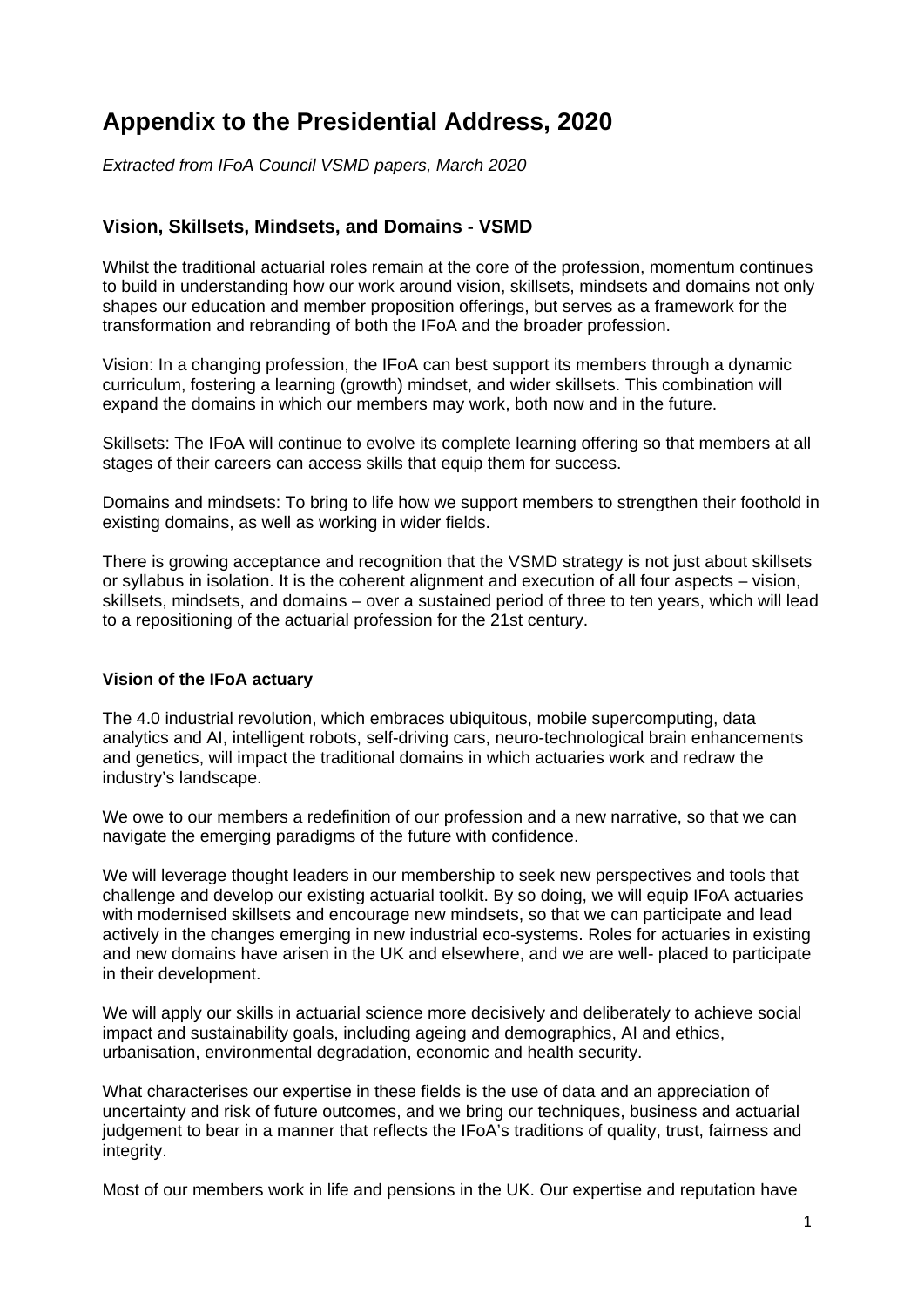# **Appendix to the Presidential Address, 2020**

*Extracted from IFoA Council VSMD papers, March 2020*

# **Vision, Skillsets, Mindsets, and Domains - VSMD**

Whilst the traditional actuarial roles remain at the core of the profession, momentum continues to build in understanding how our work around vision, skillsets, mindsets and domains not only shapes our education and member proposition offerings, but serves as a framework for the transformation and rebranding of both the IFoA and the broader profession.

Vision: In a changing profession, the IFoA can best support its members through a dynamic curriculum, fostering a learning (growth) mindset, and wider skillsets. This combination will expand the domains in which our members may work, both now and in the future.

Skillsets: The IFoA will continue to evolve its complete learning offering so that members at all stages of their careers can access skills that equip them for success.

Domains and mindsets: To bring to life how we support members to strengthen their foothold in existing domains, as well as working in wider fields.

There is growing acceptance and recognition that the VSMD strategy is not just about skillsets or syllabus in isolation. It is the coherent alignment and execution of all four aspects – vision, skillsets, mindsets, and domains – over a sustained period of three to ten years, which will lead to a repositioning of the actuarial profession for the 21st century.

#### **Vision of the IFoA actuary**

The 4.0 industrial revolution, which embraces ubiquitous, mobile supercomputing, data analytics and AI, intelligent robots, self-driving cars, neuro-technological brain enhancements and genetics, will impact the traditional domains in which actuaries work and redraw the industry's landscape.

We owe to our members a redefinition of our profession and a new narrative, so that we can navigate the emerging paradigms of the future with confidence.

We will leverage thought leaders in our membership to seek new perspectives and tools that challenge and develop our existing actuarial toolkit. By so doing, we will equip IFoA actuaries with modernised skillsets and encourage new mindsets, so that we can participate and lead actively in the changes emerging in new industrial eco-systems. Roles for actuaries in existing and new domains have arisen in the UK and elsewhere, and we are well- placed to participate in their development.

We will apply our skills in actuarial science more decisively and deliberately to achieve social impact and sustainability goals, including ageing and demographics, AI and ethics, urbanisation, environmental degradation, economic and health security.

What characterises our expertise in these fields is the use of data and an appreciation of uncertainty and risk of future outcomes, and we bring our techniques, business and actuarial judgement to bear in a manner that reflects the IFoA's traditions of quality, trust, fairness and integrity.

Most of our members work in life and pensions in the UK. Our expertise and reputation have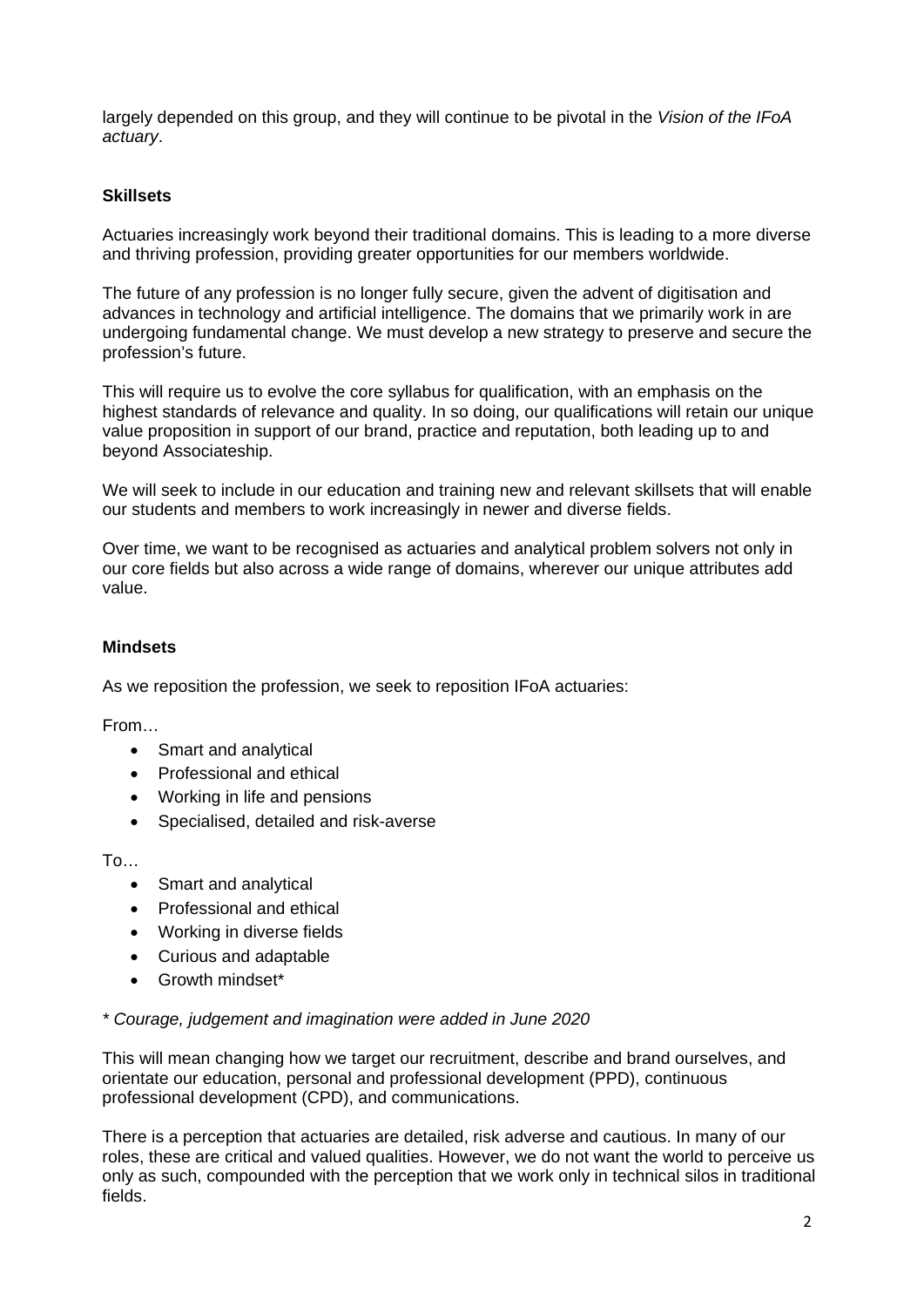largely depended on this group, and they will continue to be pivotal in the *Vision of the IFoA actuary*.

### **Skillsets**

Actuaries increasingly work beyond their traditional domains. This is leading to a more diverse and thriving profession, providing greater opportunities for our members worldwide.

The future of any profession is no longer fully secure, given the advent of digitisation and advances in technology and artificial intelligence. The domains that we primarily work in are undergoing fundamental change. We must develop a new strategy to preserve and secure the profession's future.

This will require us to evolve the core syllabus for qualification, with an emphasis on the highest standards of relevance and quality. In so doing, our qualifications will retain our unique value proposition in support of our brand, practice and reputation, both leading up to and beyond Associateship.

We will seek to include in our education and training new and relevant skillsets that will enable our students and members to work increasingly in newer and diverse fields.

Over time, we want to be recognised as actuaries and analytical problem solvers not only in our core fields but also across a wide range of domains, wherever our unique attributes add value.

## **Mindsets**

As we reposition the profession, we seek to reposition IFoA actuaries:

From…

- Smart and analytical
- Professional and ethical
- Working in life and pensions
- Specialised, detailed and risk-averse

 $To...$ 

- Smart and analytical
- Professional and ethical
- Working in diverse fields
- Curious and adaptable
- Growth mindset\*

#### *\* Courage, judgement and imagination were added in June 2020*

This will mean changing how we target our recruitment, describe and brand ourselves, and orientate our education, personal and professional development (PPD), continuous professional development (CPD), and communications.

There is a perception that actuaries are detailed, risk adverse and cautious. In many of our roles, these are critical and valued qualities. However, we do not want the world to perceive us only as such, compounded with the perception that we work only in technical silos in traditional fields.